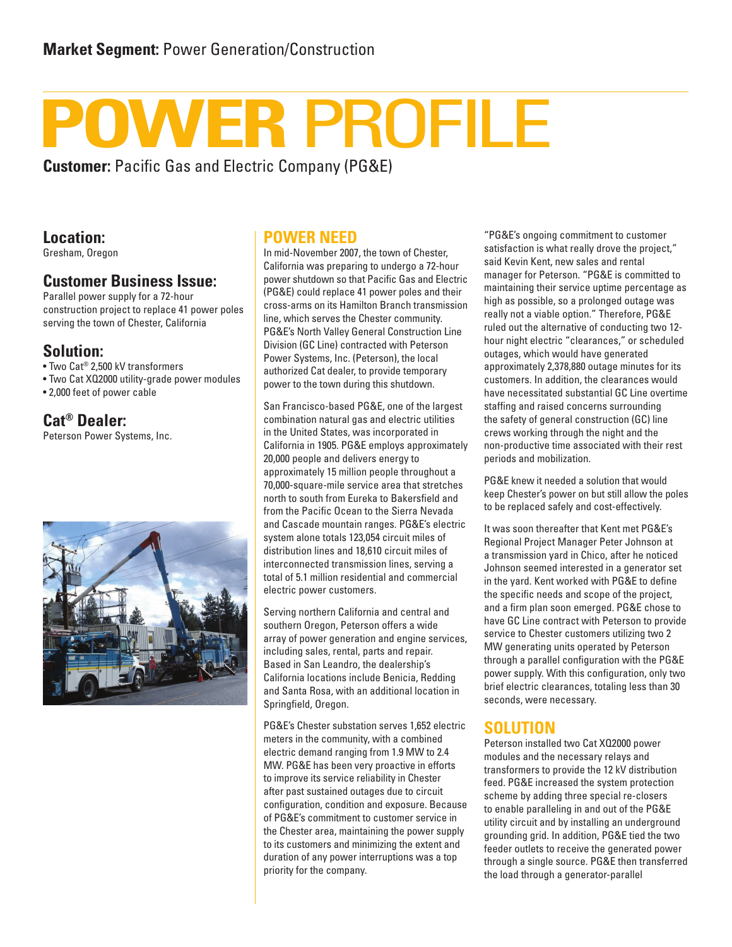# WER PROFILE

**Customer:** Pacific Gas and Electric Company (PG&E)

#### **Location:**

Gresham, Oregon

#### **Customer Business Issue:**

Parallel power supply for a 72-hour construction project to replace 41 power poles serving the town of Chester, California

#### **Solution:**

• Two Cat® 2,500 kV transformers

• Two Cat XQ2000 utility-grade power modules

• 2,000 feet of power cable

### **Cat® Dealer:**

Peterson Power Systems, Inc.



#### **POWER NEED**

In mid-November 2007, the town of Chester, California was preparing to undergo a 72-hour power shutdown so that Pacific Gas and Electric (PG&E) could replace 41 power poles and their cross-arms on its Hamilton Branch transmission line, which serves the Chester community. PG&E's North Valley General Construction Line Division (GC Line) contracted with Peterson Power Systems, Inc. (Peterson), the local authorized Cat dealer, to provide temporary power to the town during this shutdown.

San Francisco-based PG&E, one of the largest combination natural gas and electric utilities in the United States, was incorporated in California in 1905. PG&E employs approximately 20,000 people and delivers energy to approximately 15 million people throughout a 70,000-square-mile service area that stretches north to south from Eureka to Bakersfield and from the Pacific Ocean to the Sierra Nevada and Cascade mountain ranges. PG&E's electric system alone totals 123,054 circuit miles of distribution lines and 18,610 circuit miles of interconnected transmission lines, serving a total of 5.1 million residential and commercial electric power customers.

Serving northern California and central and southern Oregon, Peterson offers a wide array of power generation and engine services, including sales, rental, parts and repair. Based in San Leandro, the dealership's California locations include Benicia, Redding and Santa Rosa, with an additional location in Springfield, Oregon.

PG&E's Chester substation serves 1,652 electric meters in the community, with a combined electric demand ranging from 1.9 MW to 2.4 MW. PG&E has been very proactive in efforts to improve its service reliability in Chester after past sustained outages due to circuit configuration, condition and exposure. Because of PG&E's commitment to customer service in the Chester area, maintaining the power supply to its customers and minimizing the extent and duration of any power interruptions was a top priority for the company.

"PG&E's ongoing commitment to customer satisfaction is what really drove the project," said Kevin Kent, new sales and rental manager for Peterson. "PG&E is committed to maintaining their service uptime percentage as high as possible, so a prolonged outage was really not a viable option." Therefore, PG&E ruled out the alternative of conducting two 12 hour night electric "clearances," or scheduled outages, which would have generated approximately 2,378,880 outage minutes for its customers. In addition, the clearances would have necessitated substantial GC Line overtime staffing and raised concerns surrounding the safety of general construction (GC) line crews working through the night and the non-productive time associated with their rest periods and mobilization.

PG&E knew it needed a solution that would keep Chester's power on but still allow the poles to be replaced safely and cost-effectively.

It was soon thereafter that Kent met PG&E's Regional Project Manager Peter Johnson at a transmission yard in Chico, after he noticed Johnson seemed interested in a generator set in the yard. Kent worked with PG&E to define the specific needs and scope of the project, and a firm plan soon emerged. PG&E chose to have GC Line contract with Peterson to provide service to Chester customers utilizing two 2 MW generating units operated by Peterson through a parallel configuration with the PG&E power supply. With this configuration, only two brief electric clearances, totaling less than 30 seconds, were necessary.

#### **SOLUTION**

Peterson installed two Cat XQ2000 power modules and the necessary relays and transformers to provide the 12 kV distribution feed. PG&E increased the system protection scheme by adding three special re-closers to enable paralleling in and out of the PG&E utility circuit and by installing an underground grounding grid. In addition, PG&E tied the two feeder outlets to receive the generated power through a single source. PG&E then transferred the load through a generator-parallel